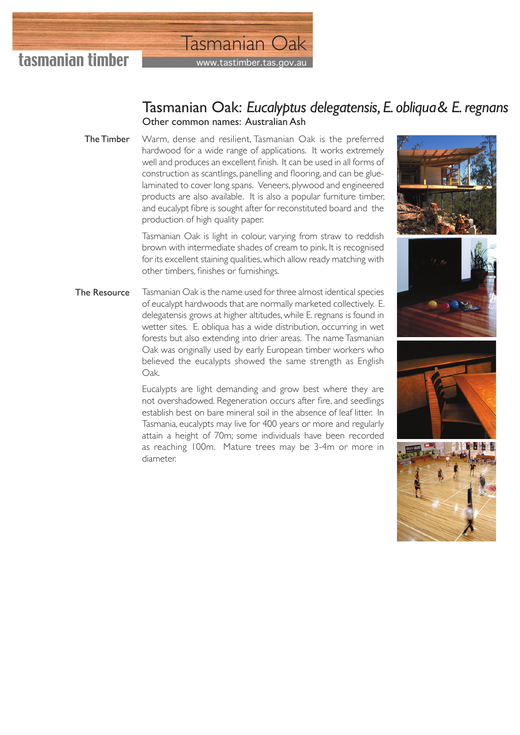

## www.tastimber.tas.gov Tasmanian Oak

## Tasmanian Oak: *Eucalyptus delegatensis, E. obliqua & E. regnans* Other common names: Australian Ash

Warm, dense and resilient, Tasmanian Oak is the preferred hardwood for a wide range of applications. It works extremely well and produces an excellent finish. It can be used in all forms of construction as scantlings, panelling and flooring, and can be gluelaminated to cover long spans. Veneers, plywood and engineered products are also available. It is also a popular furniture timber, and eucalypt fibre is sought after for reconstituted board and the production of high quality paper. The Timber

> Tasmanian Oak is light in colour, varying from straw to reddish brown with intermediate shades of cream to pink. It is recognised for its excellent staining qualities, which allow ready matching with other timbers, finishes or furnishings.

Tasmanian Oak is the name used for three almost identical species of eucalypt hardwoods that are normally marketed collectively. E. delegatensis grows at higher altitudes, while E. regnans is found in wetter sites. E. obliqua has a wide distribution, occurring in wet forests but also extending into drier areas. The name Tasmanian Oak was originally used by early European timber workers who believed the eucalypts showed the same strength as English Oak. The Resource

> Eucalypts are light demanding and grow best where they are not overshadowed. Regeneration occurs after fire, and seedlings establish best on bare mineral soil in the absence of leaf litter. In Tasmania, eucalypts may live for 400 years or more and regularly attain a height of 70m; some individuals have been recorded as reaching 100m. Mature trees may be 3-4m or more in diameter.